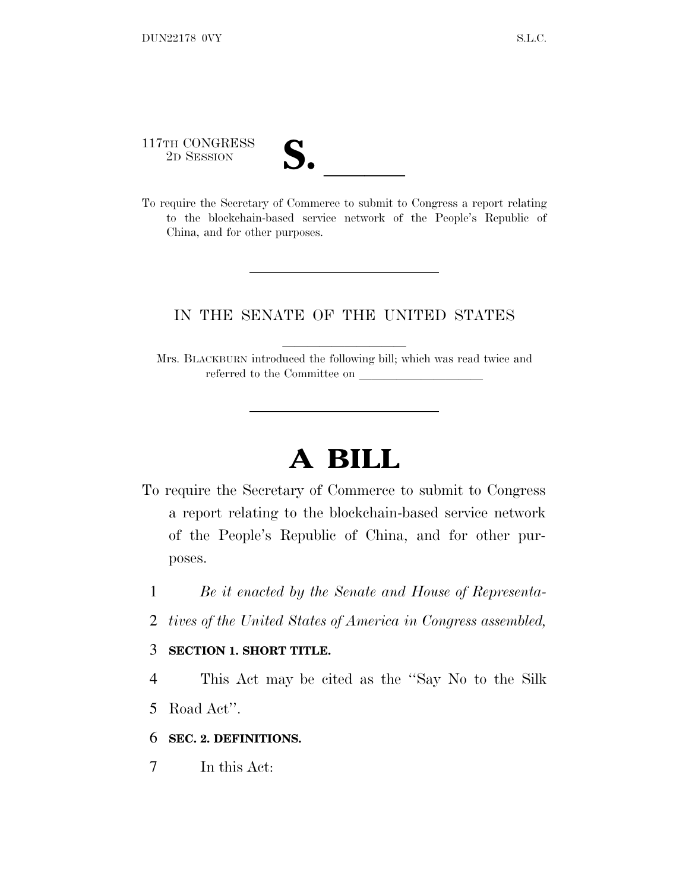117TH CONGRESS

| T.<br>$\overline{\mathcal{U}}\bullet$ |  |
|---------------------------------------|--|
|                                       |  |

117TH CONGRESS<br>
2D SESSION<br>
To require the Secretary of Commerce to submit to Congress a report relating to the blockchain-based service network of the People's Republic of China, and for other purposes.

#### IN THE SENATE OF THE UNITED STATES

Mrs. BLACKBURN introduced the following bill; which was read twice and referred to the Committee on

# **A BILL**

- To require the Secretary of Commerce to submit to Congress a report relating to the blockchain-based service network of the People's Republic of China, and for other purposes.
	- 1 *Be it enacted by the Senate and House of Representa-*
	- 2 *tives of the United States of America in Congress assembled,*

#### 3 **SECTION 1. SHORT TITLE.**

4 This Act may be cited as the ''Say No to the Silk

5 Road Act''.

6 **SEC. 2. DEFINITIONS.**

7 In this Act: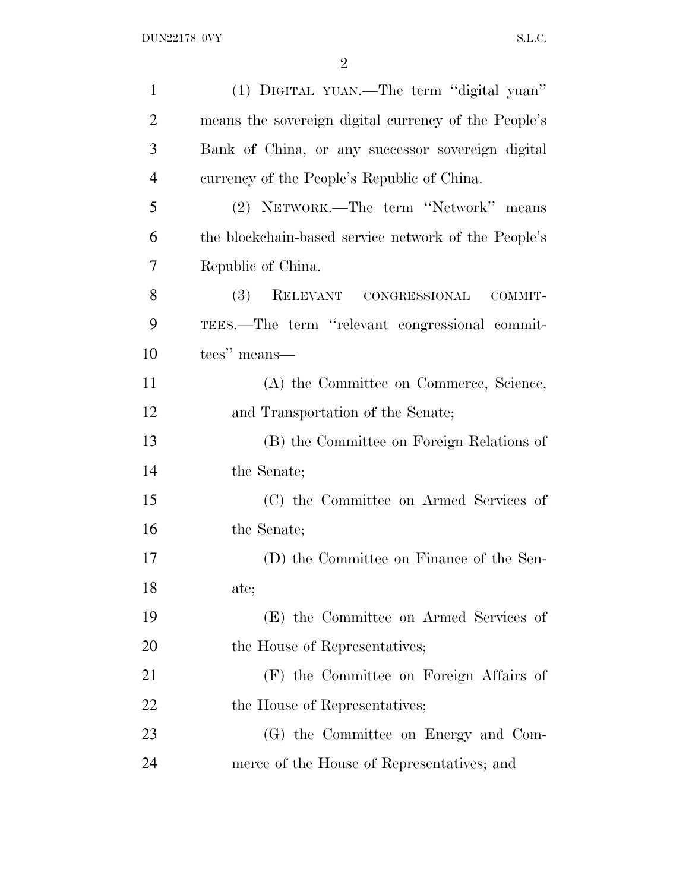| $\mathbf{1}$   | (1) DIGITAL YUAN.—The term "digital yuan"            |
|----------------|------------------------------------------------------|
| $\overline{2}$ | means the sovereign digital currency of the People's |
| 3              | Bank of China, or any successor sovereign digital    |
| $\overline{4}$ | currency of the People's Republic of China.          |
| 5              | (2) NETWORK.—The term "Network" means                |
| 6              | the blockchain-based service network of the People's |
| 7              | Republic of China.                                   |
| 8              | <b>(3)</b><br>RELEVANT CONGRESSIONAL<br>COMMIT-      |
| 9              | TEES.—The term "relevant congressional commit-       |
| 10             | tees" means—                                         |
| 11             | (A) the Committee on Commerce, Science,              |
| 12             | and Transportation of the Senate;                    |
| 13             | (B) the Committee on Foreign Relations of            |
| 14             | the Senate;                                          |
| 15             | (C) the Committee on Armed Services of               |
| 16             | the Senate;                                          |
| 17             | (D) the Committee on Finance of the Sen-             |
| 18             | ate;                                                 |
| 19             | (E) the Committee on Armed Services of               |
| 20             | the House of Representatives;                        |
| 21             | (F) the Committee on Foreign Affairs of              |
| 22             | the House of Representatives;                        |
| 23             | (G) the Committee on Energy and Com-                 |
| 24             | merce of the House of Representatives; and           |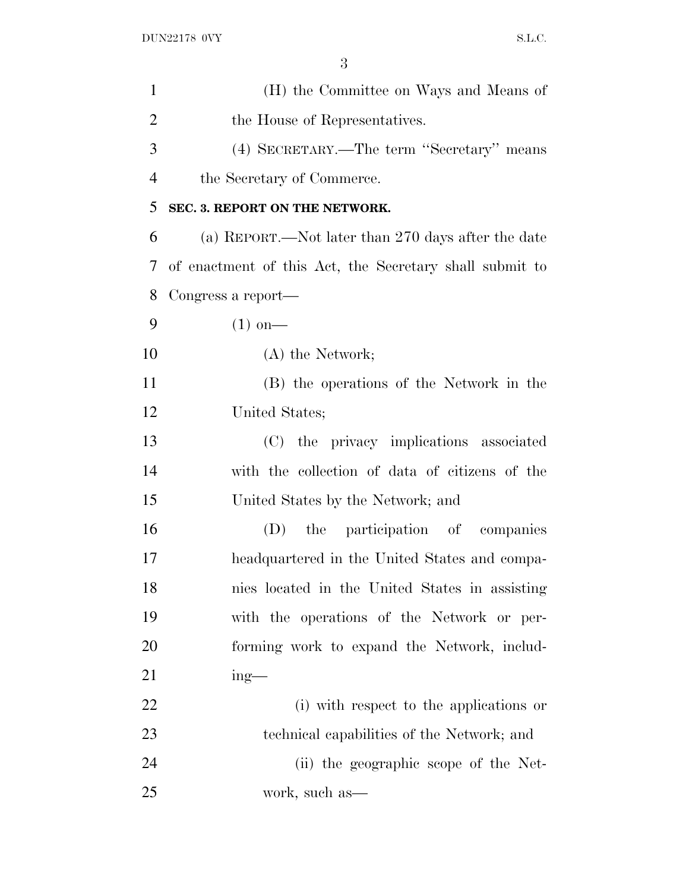| $\mathbf{1}$   | (H) the Committee on Ways and Means of                  |
|----------------|---------------------------------------------------------|
| 2              | the House of Representatives.                           |
| 3              | (4) SECRETARY.—The term "Secretary" means               |
| $\overline{4}$ | the Secretary of Commerce.                              |
| 5              | SEC. 3. REPORT ON THE NETWORK.                          |
| 6              | (a) REPORT.—Not later than 270 days after the date      |
| 7              | of enactment of this Act, the Secretary shall submit to |
| 8              | Congress a report—                                      |
| 9              | $(1)$ on—                                               |
| 10             | $(A)$ the Network;                                      |
| 11             | (B) the operations of the Network in the                |
| 12             | United States;                                          |
| 13             | (C) the privacy implications associated                 |
| 14             | with the collection of data of citizens of the          |
| 15             | United States by the Network; and                       |
| 16             | the participation of companies<br>(D)                   |
| 17             | headquartered in the United States and compa-           |
| 18             | nies located in the United States in assisting          |
| 19             | with the operations of the Network or per-              |
| 20             | forming work to expand the Network, includ-             |
| 21             | $ing$ —                                                 |
| 22             | (i) with respect to the applications or                 |
| 23             | technical capabilities of the Network; and              |
| 24             | (ii) the geographic scope of the Net-                   |
| 25             | work, such as—                                          |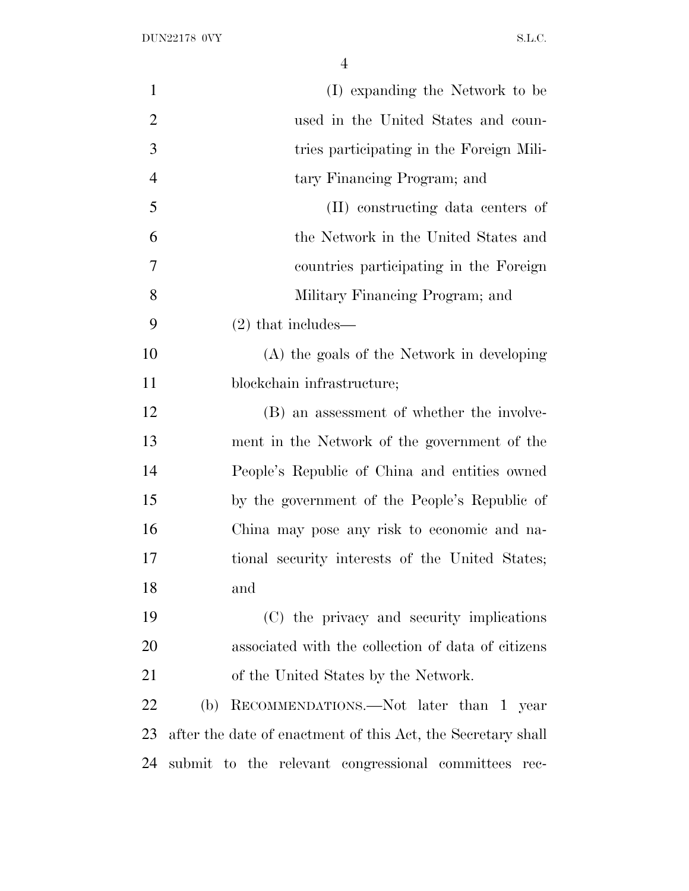| $\mathbf{1}$   | (I) expanding the Network to be                              |
|----------------|--------------------------------------------------------------|
| $\overline{2}$ | used in the United States and coun-                          |
| 3              | tries participating in the Foreign Mili-                     |
| $\overline{4}$ | tary Financing Program; and                                  |
| 5              | (II) constructing data centers of                            |
| 6              | the Network in the United States and                         |
| 7              | countries participating in the Foreign                       |
| 8              | Military Financing Program; and                              |
| 9              | $(2)$ that includes—                                         |
| 10             | (A) the goals of the Network in developing                   |
| 11             | blockchain infrastructure;                                   |
| 12             | (B) an assessment of whether the involve-                    |
| 13             | ment in the Network of the government of the                 |
| 14             | People's Republic of China and entities owned                |
| 15             | by the government of the People's Republic of                |
| 16             | China may pose any risk to economic and na-                  |
| 17             | tional security interests of the United States;              |
| 18             | and                                                          |
| 19             | (C) the privacy and security implications                    |
| 20             | associated with the collection of data of citizens           |
| 21             | of the United States by the Network.                         |
| 22             | RECOMMENDATIONS.—Not later than 1 year<br>(b)                |
| 23             | after the date of enactment of this Act, the Secretary shall |
| 24             | submit to the relevant congressional committees rec-         |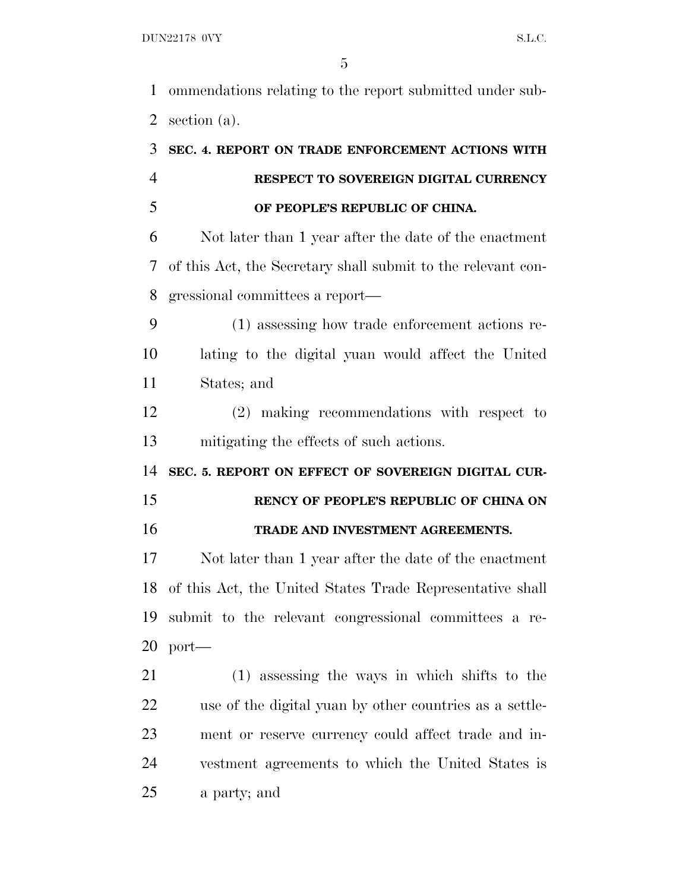ommendations relating to the report submitted under sub-section (a).

## **SEC. 4. REPORT ON TRADE ENFORCEMENT ACTIONS WITH RESPECT TO SOVEREIGN DIGITAL CURRENCY OF PEOPLE'S REPUBLIC OF CHINA.**

 Not later than 1 year after the date of the enactment of this Act, the Secretary shall submit to the relevant con-gressional committees a report—

 (1) assessing how trade enforcement actions re- lating to the digital yuan would affect the United States; and

 (2) making recommendations with respect to mitigating the effects of such actions.

**SEC. 5. REPORT ON EFFECT OF SOVEREIGN DIGITAL CUR-**

**RENCY OF PEOPLE'S REPUBLIC OF CHINA ON**

### **TRADE AND INVESTMENT AGREEMENTS.**

 Not later than 1 year after the date of the enactment of this Act, the United States Trade Representative shall submit to the relevant congressional committees a re-port—

 (1) assessing the ways in which shifts to the use of the digital yuan by other countries as a settle- ment or reserve currency could affect trade and in- vestment agreements to which the United States is a party; and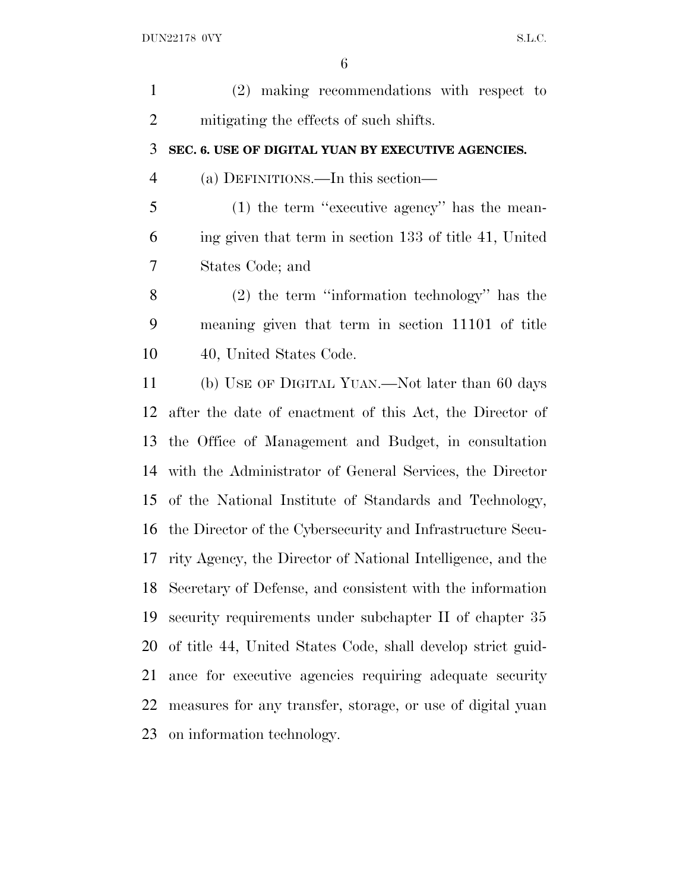| $\mathbf{1}$   | (2) making recommendations with respect to                  |
|----------------|-------------------------------------------------------------|
| $\overline{c}$ | mitigating the effects of such shifts.                      |
| 3              | SEC. 6. USE OF DIGITAL YUAN BY EXECUTIVE AGENCIES.          |
| $\overline{4}$ | (a) DEFINITIONS.—In this section—                           |
| 5              | $(1)$ the term "executive agency" has the mean-             |
| 6              | ing given that term in section 133 of title 41, United      |
| 7              | States Code; and                                            |
| 8              | $(2)$ the term "information technology" has the             |
| 9              | meaning given that term in section 11101 of title           |
| 10             | 40, United States Code.                                     |
| 11             | (b) USE OF DIGITAL YUAN.—Not later than 60 days             |
| 12             | after the date of enactment of this Act, the Director of    |
| 13             | the Office of Management and Budget, in consultation        |
| 14             | with the Administrator of General Services, the Director    |
| 15             | of the National Institute of Standards and Technology,      |
| 16             | the Director of the Cybersecurity and Infrastructure Secu-  |
| 17             | rity Agency, the Director of National Intelligence, and the |
| 18             | Secretary of Defense, and consistent with the information   |
| 19             | security requirements under subchapter II of chapter 35     |
| 20             | of title 44, United States Code, shall develop strict guid- |
| 21             | ance for executive agencies requiring adequate security     |
| 22             | measures for any transfer, storage, or use of digital yuan  |
| 23             | on information technology.                                  |